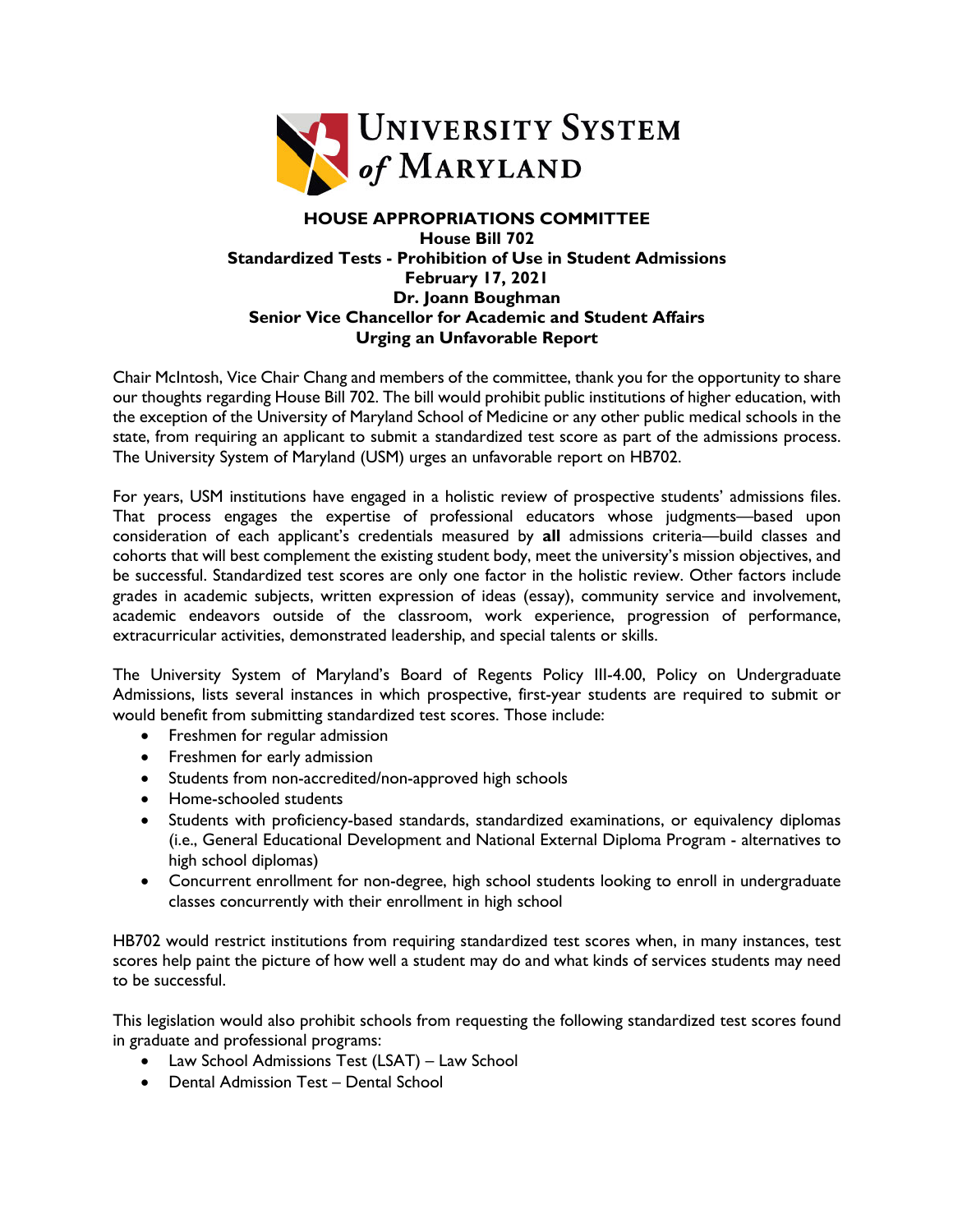

## **HOUSE APPROPRIATIONS COMMITTEE House Bill 702 Standardized Tests - Prohibition of Use in Student Admissions February 17, 2021 Dr. Joann Boughman Senior Vice Chancellor for Academic and Student Affairs Urging an Unfavorable Report**

Chair McIntosh, Vice Chair Chang and members of the committee, thank you for the opportunity to share our thoughts regarding House Bill 702. The bill would prohibit public institutions of higher education, with the exception of the University of Maryland School of Medicine or any other public medical schools in the state, from requiring an applicant to submit a standardized test score as part of the admissions process. The University System of Maryland (USM) urges an unfavorable report on HB702.

For years, USM institutions have engaged in a holistic review of prospective students' admissions files. That process engages the expertise of professional educators whose judgments—based upon consideration of each applicant's credentials measured by **all** admissions criteria—build classes and cohorts that will best complement the existing student body, meet the university's mission objectives, and be successful. Standardized test scores are only one factor in the holistic review. Other factors include grades in academic subjects, written expression of ideas (essay), community service and involvement, academic endeavors outside of the classroom, work experience, progression of performance, extracurricular activities, demonstrated leadership, and special talents or skills.

The University System of Maryland's Board of Regents Policy III-4.00, Policy on Undergraduate Admissions, lists several instances in which prospective, first-year students are required to submit or would benefit from submitting standardized test scores. Those include:

- Freshmen for regular admission
- Freshmen for early admission
- Students from non-accredited/non-approved high schools
- Home-schooled students
- Students with proficiency-based standards, standardized examinations, or equivalency diplomas (i.e., General Educational Development and National External Diploma Program - alternatives to high school diplomas)
- Concurrent enrollment for non-degree, high school students looking to enroll in undergraduate classes concurrently with their enrollment in high school

HB702 would restrict institutions from requiring standardized test scores when, in many instances, test scores help paint the picture of how well a student may do and what kinds of services students may need to be successful.

This legislation would also prohibit schools from requesting the following standardized test scores found in graduate and professional programs:

- Law School Admissions Test (LSAT) Law School
- Dental Admission Test Dental School